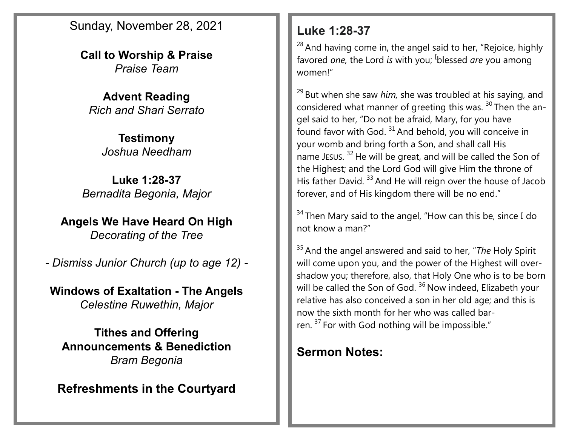Sunday, November 28, 2021

**Call to Worship & Praise** *Praise Team*

**Advent Reading** *Rich and Shari Serrato*

> **Testimony** *Joshua Needham*

**Luke 1:28-37** *Bernadita Begonia, Major*

**Angels We Have Heard On High** *Decorating of the Tree*

*- Dismiss Junior Church (up to age 12) -*

**Windows of Exaltation - The Angels** *Celestine Ruwethin, Major*

**Tithes and Offering Announcements & Benediction** *Bram Begonia*

**Refreshments in the Courtyard**

## **Luke 1:28-37**

 $28$  And having come in, the angel said to her, "Rejoice, highly favored *one*, the Lord *is* with you; <sup>[</sup>blessed *are* you among women!"

<sup>29</sup> But when she saw *him*, she was troubled at his saying, and considered what manner of greeting this was.  $30$  Then the angel said to her, "Do not be afraid, Mary, for you have found favor with God.  $31$  And behold, you will conceive in your womb and bring forth a Son, and shall call His name JESUS.<sup>32</sup> He will be great, and will be called the Son of the Highest; and the Lord God will give Him the throne of His father David.<sup>33</sup> And He will reign over the house of Jacob forever, and of His kingdom there will be no end."

 $34$  Then Mary said to the angel, "How can this be, since I do not know a man?"

<sup>35</sup> And the angel answered and said to her, "*The* Holy Spirit will come upon you, and the power of the Highest will overshadow you; therefore, also, that Holy One who is to be born will be called the Son of God.<sup>36</sup> Now indeed, Elizabeth your relative has also conceived a son in her old age; and this is now the sixth month for her who was called barren. <sup>37</sup> For with God nothing will be impossible."

## **Sermon Notes:**